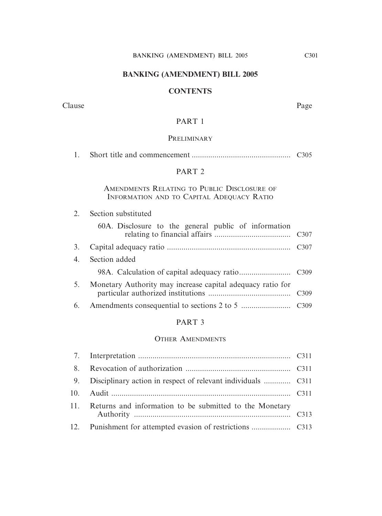# **BANKING (AMENDMENT) BILL 2005**

#### **CONTENTS**

Clause Page

# PART 1

# **PRELIMINARY**

1. Short title and commencement ................................................ C305

# PART 2

# AMENDMENTS RELATING TO PUBLIC DISCLOSURE OF INFORMATION AND TO CAPITAL ADEQUACY RATIO

# 2. Section substituted

|    | 60A. Disclosure to the general public of information       |  |
|----|------------------------------------------------------------|--|
| 3. |                                                            |  |
|    | 4. Section added                                           |  |
|    |                                                            |  |
| 5. | Monetary Authority may increase capital adequacy ratio for |  |
|    |                                                            |  |

# PART 3

#### OTHER AMENDMENTS

| 11. Returns and information to be submitted to the Monetary |  |
|-------------------------------------------------------------|--|
|                                                             |  |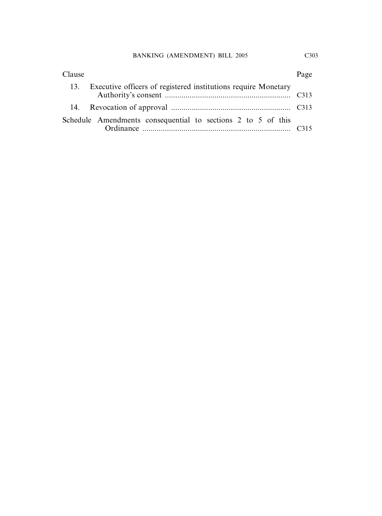| Clause                                                             | Page |
|--------------------------------------------------------------------|------|
| 13. Executive officers of registered institutions require Monetary |      |
|                                                                    |      |
| Schedule Amendments consequential to sections 2 to 5 of this       | C315 |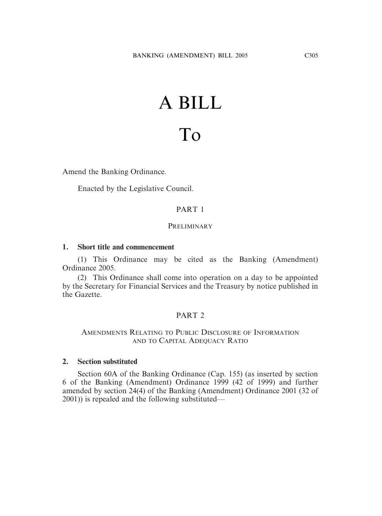# A BILL

# To

Amend the Banking Ordinance.

Enacted by the Legislative Council.

# PART 1

#### **PRELIMINARY**

#### **1. Short title and commencement**

(1) This Ordinance may be cited as the Banking (Amendment) Ordinance 2005.

(2) This Ordinance shall come into operation on a day to be appointed by the Secretary for Financial Services and the Treasury by notice published in the Gazette.

#### PART 2

# AMENDMENTS RELATING TO PUBLIC DISCLOSURE OF INFORMATION AND TO CAPITAL ADEQUACY RATIO

#### **2. Section substituted**

Section 60A of the Banking Ordinance (Cap. 155) (as inserted by section 6 of the Banking (Amendment) Ordinance 1999 (42 of 1999) and further amended by section 24(4) of the Banking (Amendment) Ordinance 2001 (32 of 2001)) is repealed and the following substituted—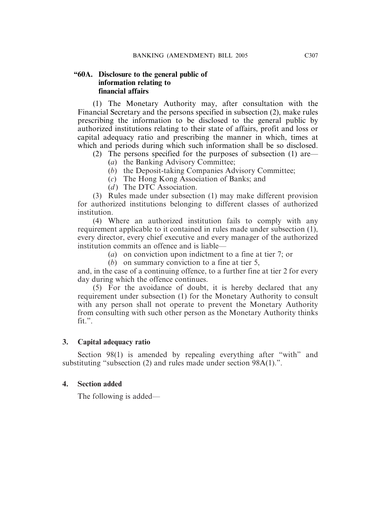# **"60A. Disclosure to the general public of information relating to financial affairs**

(1) The Monetary Authority may, after consultation with the Financial Secretary and the persons specified in subsection (2), make rules prescribing the information to be disclosed to the general public by authorized institutions relating to their state of affairs, profit and loss or capital adequacy ratio and prescribing the manner in which, times at which and periods during which such information shall be so disclosed.

- (2) The persons specified for the purposes of subsection (1) are—
	- (*a*) the Banking Advisory Committee;
	- (*b*) the Deposit-taking Companies Advisory Committee;
	- (*c*) The Hong Kong Association of Banks; and
	- (*d*) The DTC Association.

(3) Rules made under subsection (1) may make different provision for authorized institutions belonging to different classes of authorized institution.

(4) Where an authorized institution fails to comply with any requirement applicable to it contained in rules made under subsection (1), every director, every chief executive and every manager of the authorized institution commits an offence and is liable—

(*a*) on conviction upon indictment to a fine at tier 7; or

(*b*) on summary conviction to a fine at tier 5,

and, in the case of a continuing offence, to a further fine at tier 2 for every day during which the offence continues.

(5) For the avoidance of doubt, it is hereby declared that any requirement under subsection (1) for the Monetary Authority to consult with any person shall not operate to prevent the Monetary Authority from consulting with such other person as the Monetary Authority thinks fit.".

# **3. Capital adequacy ratio**

Section 98(1) is amended by repealing everything after "with" and substituting "subsection (2) and rules made under section 98A(1).".

# **4. Section added**

The following is added—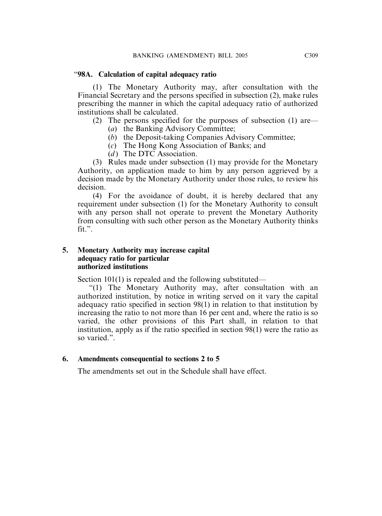#### "**98A. Calculation of capital adequacy ratio**

(1) The Monetary Authority may, after consultation with the Financial Secretary and the persons specified in subsection (2), make rules prescribing the manner in which the capital adequacy ratio of authorized institutions shall be calculated.

(2) The persons specified for the purposes of subsection (1) are—

- (*a*) the Banking Advisory Committee;
- (*b*) the Deposit-taking Companies Advisory Committee;
- (*c*) The Hong Kong Association of Banks; and
- (*d*) The DTC Association.

(3) Rules made under subsection (1) may provide for the Monetary Authority, on application made to him by any person aggrieved by a decision made by the Monetary Authority under those rules, to review his decision.

(4) For the avoidance of doubt, it is hereby declared that any requirement under subsection (1) for the Monetary Authority to consult with any person shall not operate to prevent the Monetary Authority from consulting with such other person as the Monetary Authority thinks fit.".

# **5. Monetary Authority may increase capital adequacy ratio for particular authorized institutions**

Section 101(1) is repealed and the following substituted—

"(1) The Monetary Authority may, after consultation with an authorized institution, by notice in writing served on it vary the capital adequacy ratio specified in section 98(1) in relation to that institution by increasing the ratio to not more than 16 per cent and, where the ratio is so varied, the other provisions of this Part shall, in relation to that institution, apply as if the ratio specified in section 98(1) were the ratio as so varied.".

# **6. Amendments consequential to sections 2 to 5**

The amendments set out in the Schedule shall have effect.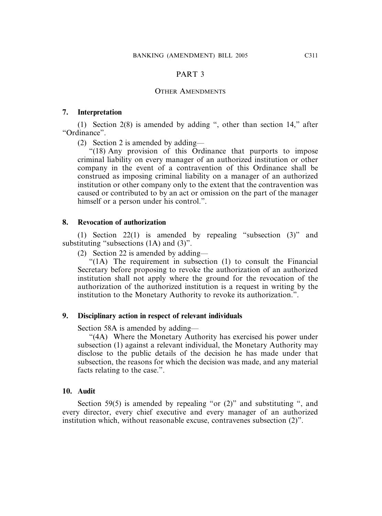#### PART 3

#### OTHER AMENDMENTS

#### **7. Interpretation**

(1) Section 2(8) is amended by adding ", other than section 14," after "Ordinance".

(2) Section 2 is amended by adding—

"(18) Any provision of this Ordinance that purports to impose criminal liability on every manager of an authorized institution or other company in the event of a contravention of this Ordinance shall be construed as imposing criminal liability on a manager of an authorized institution or other company only to the extent that the contravention was caused or contributed to by an act or omission on the part of the manager himself or a person under his control.".

#### **8. Revocation of authorization**

(1) Section 22(1) is amended by repealing "subsection (3)" and substituting "subsections  $(1A)$  and  $(3)$ ".

(2) Section 22 is amended by adding—

"(1A) The requirement in subsection (1) to consult the Financial Secretary before proposing to revoke the authorization of an authorized institution shall not apply where the ground for the revocation of the authorization of the authorized institution is a request in writing by the institution to the Monetary Authority to revoke its authorization.".

#### **9. Disciplinary action in respect of relevant individuals**

Section 58A is amended by adding—

"(4A) Where the Monetary Authority has exercised his power under subsection (1) against a relevant individual, the Monetary Authority may disclose to the public details of the decision he has made under that subsection, the reasons for which the decision was made, and any material facts relating to the case.".

#### **10. Audit**

Section 59(5) is amended by repealing "or (2)" and substituting ", and every director, every chief executive and every manager of an authorized institution which, without reasonable excuse, contravenes subsection (2)".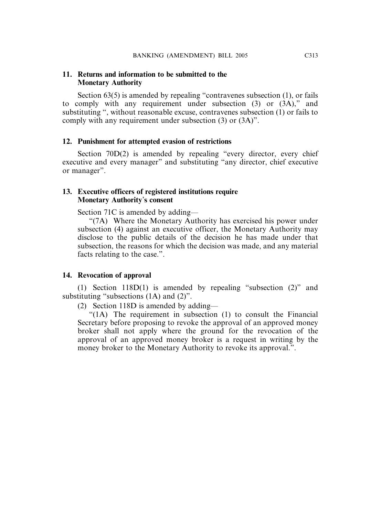#### **11. Returns and information to be submitted to the Monetary Authority**

Section 63(5) is amended by repealing "contravenes subsection (1), or fails to comply with any requirement under subsection (3) or (3A)," and substituting ", without reasonable excuse, contravenes subsection (1) or fails to comply with any requirement under subsection (3) or (3A)".

#### **12. Punishment for attempted evasion of restrictions**

Section 70D(2) is amended by repealing "every director, every chief executive and every manager" and substituting "any director, chief executive or manager".

# **13. Executive officers of registered institutions require Monetary Authority**'**s consent**

Section 71C is amended by adding—

"(7A) Where the Monetary Authority has exercised his power under subsection (4) against an executive officer, the Monetary Authority may disclose to the public details of the decision he has made under that subsection, the reasons for which the decision was made, and any material facts relating to the case.".

#### **14. Revocation of approval**

(1) Section 118D(1) is amended by repealing "subsection (2)" and substituting "subsections (1A) and (2)".

(2) Section 118D is amended by adding—

"(1A) The requirement in subsection (1) to consult the Financial Secretary before proposing to revoke the approval of an approved money broker shall not apply where the ground for the revocation of the approval of an approved money broker is a request in writing by the money broker to the Monetary Authority to revoke its approval.".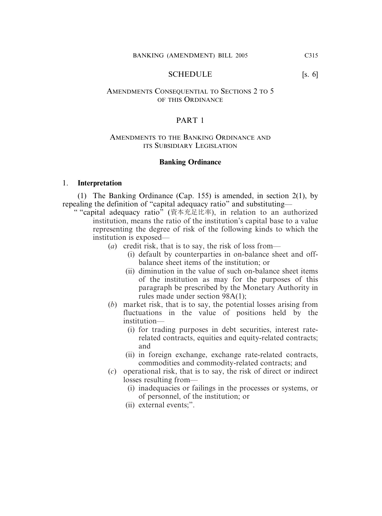SCHEDULE [s. 6]

#### AMENDMENTS CONSEQUENTIAL TO SECTIONS 2 TO 5 OF THIS ORDINANCE

#### PART 1

#### AMENDMENTS TO THE BANKING ORDINANCE AND ITS SUBSIDIARY LEGISLATION

#### **Banking Ordinance**

#### 1. **Interpretation**

(1) The Banking Ordinance (Cap. 155) is amended, in section 2(1), by repealing the definition of "capital adequacy ratio" and substituting—

" "capital adequacy ratio" (資本充足比率), in relation to an authorized institution, means the ratio of the institution's capital base to a value representing the degree of risk of the following kinds to which the institution is exposed—

- (*a*) credit risk, that is to say, the risk of loss from—
	- (i) default by counterparties in on-balance sheet and offbalance sheet items of the institution; or
	- (ii) diminution in the value of such on-balance sheet items of the institution as may for the purposes of this paragraph be prescribed by the Monetary Authority in rules made under section 98A(1);
- (*b*) market risk, that is to say, the potential losses arising from fluctuations in the value of positions held by the institution—
	- (i) for trading purposes in debt securities, interest raterelated contracts, equities and equity-related contracts; and
	- (ii) in foreign exchange, exchange rate-related contracts, commodities and commodity-related contracts; and
- (*c*) operational risk, that is to say, the risk of direct or indirect losses resulting from—
	- (i) inadequacies or failings in the processes or systems, or of personnel, of the institution; or
	- (ii) external events;".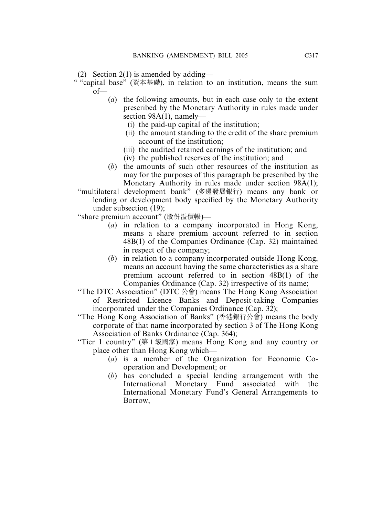(2) Section 2(1) is amended by adding—

- " "capital base" (資本基礎), in relation to an institution, means the sum  $of$ 
	- (*a*) the following amounts, but in each case only to the extent prescribed by the Monetary Authority in rules made under section 98A(1), namely—
		- (i) the paid-up capital of the institution;
		- (ii) the amount standing to the credit of the share premium account of the institution;
		- (iii) the audited retained earnings of the institution; and
		- (iv) the published reserves of the institution; and
	- (*b*) the amounts of such other resources of the institution as may for the purposes of this paragraph be prescribed by the Monetary Authority in rules made under section 98A(1);
	- "multilateral development bank" (多邊發展銀行) means any bank or lending or development body specified by the Monetary Authority under subsection (19);
	- "share premium account" (股份溢價帳)—
		- (*a*) in relation to a company incorporated in Hong Kong, means a share premium account referred to in section 48B(1) of the Companies Ordinance (Cap. 32) maintained in respect of the company;
		- (*b*) in relation to a company incorporated outside Hong Kong, means an account having the same characteristics as a share premium account referred to in section 48B(1) of the Companies Ordinance (Cap. 32) irrespective of its name;
	- "The DTC Association" (DTC  $\triangle \hat{\mathbf{g}}$ ) means The Hong Kong Association of Restricted Licence Banks and Deposit-taking Companies incorporated under the Companies Ordinance (Cap. 32);
	- "The Hong Kong Association of Banks" (香港銀行公會) means the body corporate of that name incorporated by section 3 of The Hong Kong Association of Banks Ordinance (Cap. 364);
	- "Tier 1 country" (第 1 級國家) means Hong Kong and any country or place other than Hong Kong which—
		- (*a*) is a member of the Organization for Economic Cooperation and Development; or
		- (*b*) has concluded a special lending arrangement with the International Monetary Fund associated with the International Monetary Fund's General Arrangements to Borrow,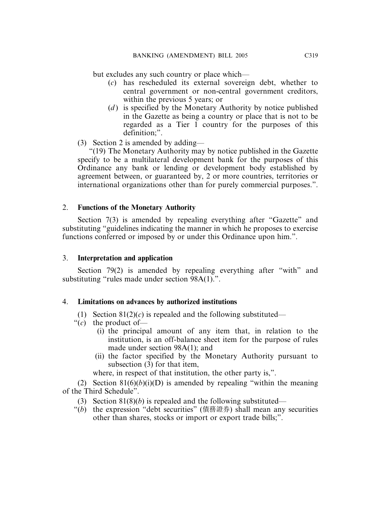but excludes any such country or place which—

- (*c*) has rescheduled its external sovereign debt, whether to central government or non-central government creditors, within the previous 5 years; or
- (*d*) is specified by the Monetary Authority by notice published in the Gazette as being a country or place that is not to be regarded as a Tier 1 country for the purposes of this definition;".
- (3) Section 2 is amended by adding—

"(19) The Monetary Authority may by notice published in the Gazette specify to be a multilateral development bank for the purposes of this Ordinance any bank or lending or development body established by agreement between, or guaranteed by, 2 or more countries, territories or international organizations other than for purely commercial purposes.".

# 2. **Functions of the Monetary Authority**

Section 7(3) is amended by repealing everything after "Gazette" and substituting "guidelines indicating the manner in which he proposes to exercise functions conferred or imposed by or under this Ordinance upon him.".

# 3. **Interpretation and application**

Section 79(2) is amended by repealing everything after "with" and substituting "rules made under section 98A(1).".

# 4. **Limitations on advances by authorized institutions**

- (1) Section  $81(2)(c)$  is repealed and the following substituted—
- "(*c*) the product of—
	- (i) the principal amount of any item that, in relation to the institution, is an off-balance sheet item for the purpose of rules made under section 98A(1); and
	- (ii) the factor specified by the Monetary Authority pursuant to subsection (3) for that item,

where, in respect of that institution, the other party is,".

(2) Section  $81(6)(b)(i)(D)$  is amended by repealing "within the meaning" of the Third Schedule".

- (3) Section 81(8)(*b*) is repealed and the following substituted—
- " $(b)$  the expression "debt securities" (債務證券) shall mean any securities other than shares, stocks or import or export trade bills;".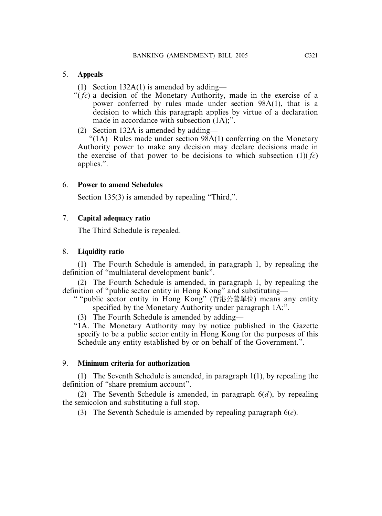# 5. **Appeals**

- (1) Section  $132A(1)$  is amended by adding—
- "( *fc*) a decision of the Monetary Authority, made in the exercise of a power conferred by rules made under section 98A(1), that is a decision to which this paragraph applies by virtue of a declaration made in accordance with subsection  $(1A)$ ;".
- (2) Section 132A is amended by adding—

" $(1A)$  Rules made under section 98A $(1)$  conferring on the Monetary Authority power to make any decision may declare decisions made in the exercise of that power to be decisions to which subsection  $(1)(f_c)$ applies.".

# 6. **Power to amend Schedules**

Section 135(3) is amended by repealing "Third,".

# 7. **Capital adequacy ratio**

The Third Schedule is repealed.

# 8. **Liquidity ratio**

(1) The Fourth Schedule is amended, in paragraph 1, by repealing the definition of "multilateral development bank".

(2) The Fourth Schedule is amended, in paragraph 1, by repealing the definition of "public sector entity in Hong Kong" and substituting—

" "public sector entity in Hong Kong" (香港公營單位) means any entity specified by the Monetary Authority under paragraph 1A;".

(3) The Fourth Schedule is amended by adding—

"1A. The Monetary Authority may by notice published in the Gazette specify to be a public sector entity in Hong Kong for the purposes of this Schedule any entity established by or on behalf of the Government.".

# 9. **Minimum criteria for authorization**

(1) The Seventh Schedule is amended, in paragraph 1(1), by repealing the definition of "share premium account".

(2) The Seventh Schedule is amended, in paragraph  $6(d)$ , by repealing the semicolon and substituting a full stop.

(3) The Seventh Schedule is amended by repealing paragraph 6(*e*).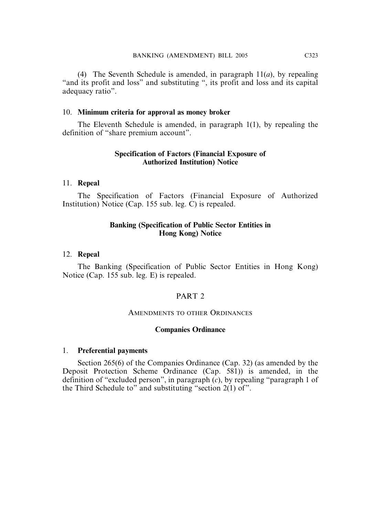(4) The Seventh Schedule is amended, in paragraph 11(*a*), by repealing "and its profit and loss" and substituting ", its profit and loss and its capital adequacy ratio".

#### 10. **Minimum criteria for approval as money broker**

The Eleventh Schedule is amended, in paragraph 1(1), by repealing the definition of "share premium account".

# **Specification of Factors (Financial Exposure of Authorized Institution) Notice**

#### 11. **Repeal**

The Specification of Factors (Financial Exposure of Authorized Institution) Notice (Cap. 155 sub. leg. C) is repealed.

#### **Banking (Specification of Public Sector Entities in Hong Kong) Notice**

#### 12. **Repeal**

The Banking (Specification of Public Sector Entities in Hong Kong) Notice (Cap. 155 sub. leg. E) is repealed.

# PART<sub>2</sub>

#### AMENDMENTS TO OTHER ORDINANCES

#### **Companies Ordinance**

#### 1. **Preferential payments**

Section 265(6) of the Companies Ordinance (Cap. 32) (as amended by the Deposit Protection Scheme Ordinance (Cap. 581)) is amended, in the definition of "excluded person", in paragraph (*c*), by repealing "paragraph 1 of the Third Schedule to" and substituting "section 2(1) of".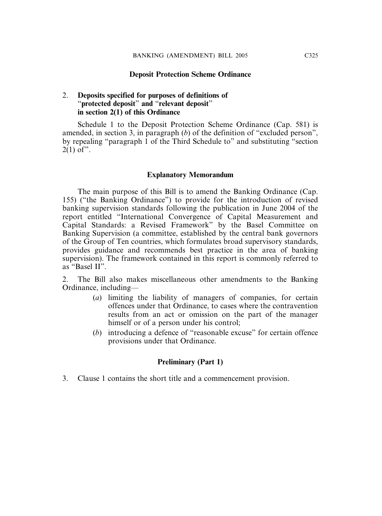#### **Deposit Protection Scheme Ordinance**

# 2. **Deposits specified for purposes of definitions of** "**protected deposit**" **and** "**relevant deposit**" **in section 2(1) of this Ordinance**

Schedule 1 to the Deposit Protection Scheme Ordinance (Cap. 581) is amended, in section 3, in paragraph (*b*) of the definition of "excluded person", by repealing "paragraph 1 of the Third Schedule to" and substituting "section  $2(1)$  of".

#### **Explanatory Memorandum**

The main purpose of this Bill is to amend the Banking Ordinance (Cap. 155) ("the Banking Ordinance") to provide for the introduction of revised banking supervision standards following the publication in June 2004 of the report entitled "International Convergence of Capital Measurement and Capital Standards: a Revised Framework" by the Basel Committee on Banking Supervision (a committee, established by the central bank governors of the Group of Ten countries, which formulates broad supervisory standards, provides guidance and recommends best practice in the area of banking supervision). The framework contained in this report is commonly referred to as "Basel II".

2. The Bill also makes miscellaneous other amendments to the Banking Ordinance, including—

- (*a*) limiting the liability of managers of companies, for certain offences under that Ordinance, to cases where the contravention results from an act or omission on the part of the manager himself or of a person under his control;
- (*b*) introducing a defence of "reasonable excuse" for certain offence provisions under that Ordinance.

#### **Preliminary (Part 1)**

3. Clause 1 contains the short title and a commencement provision.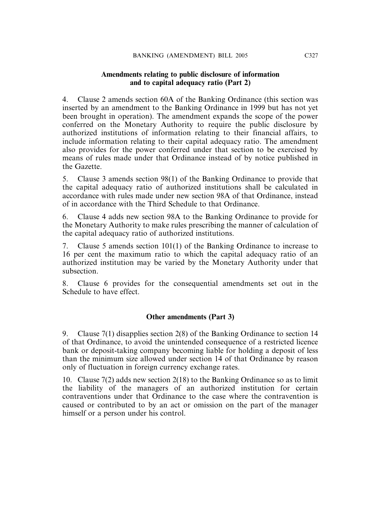# **Amendments relating to public disclosure of information and to capital adequacy ratio (Part 2)**

4. Clause 2 amends section 60A of the Banking Ordinance (this section was inserted by an amendment to the Banking Ordinance in 1999 but has not yet been brought in operation). The amendment expands the scope of the power conferred on the Monetary Authority to require the public disclosure by authorized institutions of information relating to their financial affairs, to include information relating to their capital adequacy ratio. The amendment also provides for the power conferred under that section to be exercised by means of rules made under that Ordinance instead of by notice published in the Gazette.

5. Clause 3 amends section 98(1) of the Banking Ordinance to provide that the capital adequacy ratio of authorized institutions shall be calculated in accordance with rules made under new section 98A of that Ordinance, instead of in accordance with the Third Schedule to that Ordinance.

6. Clause 4 adds new section 98A to the Banking Ordinance to provide for the Monetary Authority to make rules prescribing the manner of calculation of the capital adequacy ratio of authorized institutions.

7. Clause 5 amends section 101(1) of the Banking Ordinance to increase to 16 per cent the maximum ratio to which the capital adequacy ratio of an authorized institution may be varied by the Monetary Authority under that subsection.

8. Clause 6 provides for the consequential amendments set out in the Schedule to have effect.

# **Other amendments (Part 3)**

9. Clause 7(1) disapplies section 2(8) of the Banking Ordinance to section 14 of that Ordinance, to avoid the unintended consequence of a restricted licence bank or deposit-taking company becoming liable for holding a deposit of less than the minimum size allowed under section 14 of that Ordinance by reason only of fluctuation in foreign currency exchange rates.

10. Clause 7(2) adds new section 2(18) to the Banking Ordinance so as to limit the liability of the managers of an authorized institution for certain contraventions under that Ordinance to the case where the contravention is caused or contributed to by an act or omission on the part of the manager himself or a person under his control.